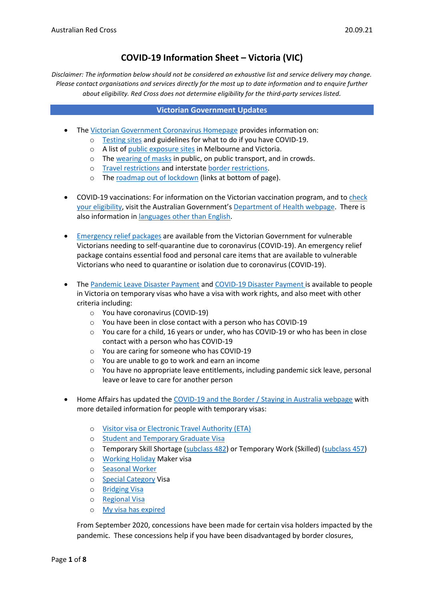# **COVID-19 Information Sheet – Victoria (VIC)**

*Disclaimer: The information below should not be considered an exhaustive list and service delivery may change. Please contact organisations and services directly for the most up to date information and to enquire further about eligibility. Red Cross does not determine eligibility for the third-party services listed.* 

#### **Victorian Government Updates**

- The [Victorian Government Coronavirus Homepage](https://www.coronavirus.vic.gov.au/) provides information on:
	- o [Testing sites](https://www.dhhs.vic.gov.au/getting-tested) and guidelines for what to do if you have COVID-19.
	- o A list of [public exposure sites](https://www.coronavirus.vic.gov.au/exposure-site) in Melbourne and Victoria.
	- o The [wearing of masks](https://www.dhhs.vic.gov.au/face-masks-vic-covid-19) in public, on public transport, and in crowds.
	- o [Travel](https://www.coronavirus.vic.gov.au/travel-and-transport-information-about-coronavirus-covid-19) restrictions and interstat[e border restrictions.](https://www.coronavirus.vic.gov.au/travel-and-transport-information-about-coronavirus-covid-19)
	- o The [roadmap out of lockdown](https://www.premier.vic.gov.au/victorias-roadmap-delivering-national-plan) (links at bottom of page).
- COVID-19 vaccinations: For information on the Victorian vaccination program, and to [check](https://covid-vaccine.healthdirect.gov.au/eligibility)  [your eligibility,](https://covid-vaccine.healthdirect.gov.au/eligibility) visit the Australian Government's [Department of Health](https://www.health.gov.au/covid19-vaccines) webpage. There is also information in [languages other than English.](https://www.coronavirus.vic.gov.au/translated-information-about-covid-19-vaccines)
- [Emergency relief packages](https://www.coronavirus.vic.gov.au/financial-and-other-support-coronavirus-covid-19) are available from the Victorian Government for vulnerable Victorians needing to self-quarantine due to coronavirus (COVID-19). An emergency relief package contains essential food and personal care items that are available to vulnerable Victorians who need to quarantine or isolation due to coronavirus (COVID-19).
- The [Pandemic Leave Disaster Payment](https://www.servicesaustralia.gov.au/individuals/services/centrelink/pandemic-leave-disaster-payment-victoria/who-can-get-it) and [COVID-19 Disaster Payment](https://www.servicesaustralia.gov.au/individuals/services/centrelink/covid-19-disaster-payment) is available to people in Victoria on temporary visas who have a visa with work rights, and also meet with other criteria including:
	- o You have coronavirus (COVID-19)
	- o You have been in close contact with a person who has COVID-19
	- o You care for a child, 16 years or under, who has COVID-19 or who has been in close contact with a person who has COVID-19
	- o You are caring for someone who has COVID-19
	- o You are unable to go to work and earn an income
	- $\circ$  You have no appropriate leave entitlements, including pandemic sick leave, personal leave or leave to care for another person
- Home Affairs has updated the [COVID-19 and the Border / Staying in Australia webpage](https://covid19.homeaffairs.gov.au/staying-australia#13) with more detailed information for people with temporary visas:
	- o [Visitor visa or Electronic Travel Authority \(ETA\)](https://covid19.homeaffairs.gov.au/visitor-visa-or-electronic-travel-authority-eta)
	- o [Student and Temporary Graduate Visa](https://covid19.homeaffairs.gov.au/student-and-temporary-graduate-visas)
	- o Temporary Skill Shortage [\(subclass 482\)](https://covid19.homeaffairs.gov.au/temporary-skill-shortage-visa-subclass-482-or-temporary-work-skilled-visa-subclass-457) or Temporary Work (Skilled) [\(subclass 457\)](https://covid19.homeaffairs.gov.au/temporary-skill-shortage-visa-subclass-482-or-temporary-work-skilled-visa-subclass-457)
	- o [Working Holiday](https://covid19.homeaffairs.gov.au/working-holiday-maker-visa) Maker visa
	- o [Seasonal Worker](https://covid19.homeaffairs.gov.au/seasonal-worker)
	- o [Special Category](https://covid19.homeaffairs.gov.au/special-category-visa) Visa
	- o [Bridging Visa](https://covid19.homeaffairs.gov.au/bridging-visa)
	- o [Regional Visa](https://covid19.homeaffairs.gov.au/regional-visa)
	- o [My visa has expired](https://covid19.homeaffairs.gov.au/my-visa-has-expired)

From September 2020, concessions have been made for certain visa holders impacted by the pandemic. These concessions help if you have been disadvantaged by border closures,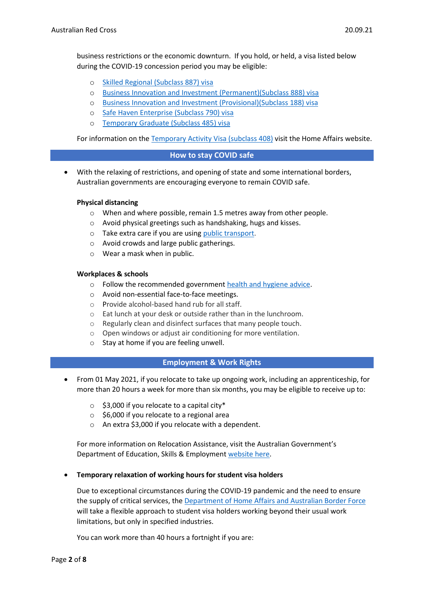- o [Skilled Regional \(Subclass 887\) visa](https://immi.homeaffairs.gov.au/visas/getting-a-visa/visa-listing/skilled-regional-887)
- o [Business Innovation and Investment \(Permanent\)\(Subclass 888\) visa](https://immi.homeaffairs.gov.au/visas/getting-a-visa/visa-listing/business-innovation-and-investment-888)
- o [Business Innovation and Investment \(Provisional\)\(Subclass 188\) visa](https://immi.homeaffairs.gov.au/visas/getting-a-visa/visa-listing/business-innovation-and-investment-188)
- o [Safe Haven Enterprise \(Subclass 790\) visa](https://immi.homeaffairs.gov.au/visas/getting-a-visa/visa-listing/safe-haven-enterprise-790/safe-haven-enterprise-visa-pathway)
- o [Temporary Graduate \(Subclass 485\) visa](https://immi.homeaffairs.gov.au/visas/getting-a-visa/visa-listing/temporary-graduate-485)

For information on the [Temporary Activity Visa \(subclass 408\)](https://immi.homeaffairs.gov.au/visas/getting-a-visa/visa-listing/temporary-activity-408/australian-government-endorsed-events#Overview) visit the Home Affairs website.

## **How to stay COVID safe**

• With the relaxing of restrictions, and opening of state and some international borders, Australian governments are encouraging everyone to remain COVID safe.

## **Physical distancing**

- o When and where possible, remain 1.5 metres away from other people.
- o Avoid physical greetings such as handshaking, hugs and kisses.
- $\circ$  Take extra care if you are using [public transport.](https://www.infrastructure.gov.au/transport/files/covid19_public_transport_principles_29052020.pdf)
- o Avoid crowds and large public gatherings.
- o Wear a mask when in public.

## **Workplaces & schools**

- o Follow the recommended government [health and hygiene advice.](https://www.health.gov.au/news/health-alerts/novel-coronavirus-2019-ncov-health-alert/how-to-protect-yourself-and-others-from-coronavirus-covid-19/good-hygiene-for-coronavirus-covid-19)
- o Avoid non-essential face-to-face meetings.
- o Provide alcohol-based hand rub for all staff.
- o Eat lunch at your desk or outside rather than in the lunchroom.
- o Regularly clean and disinfect surfaces that many people touch.
- $\circ$  Open windows or adjust air conditioning for more ventilation.
- o Stay at home if you are feeling unwell.

#### **Employment & Work Rights**

- From 01 May 2021, if you relocate to take up ongoing work, including an apprenticeship, for more than 20 hours a week for more than six months, you may be eligible to receive up to:
	- $\circ$  \$3,000 if you relocate to a capital city\*
	- $\circ$  \$6,000 if you relocate to a regional area
	- o An extra \$3,000 if you relocate with a dependent.

For more information on Relocation Assistance, visit the Australian Government's Department of Education, Skills & Employmen[t website here.](https://www.dese.gov.au/rattuaj)

#### • **Temporary relaxation of working hours for student visa holders**

Due to exceptional circumstances during the COVID-19 pandemic and the need to ensure the supply of critical services, the [Department of Home Affairs and Australian Border Force](https://immi.homeaffairs.gov.au/visas/getting-a-visa/visa-listing/student-500/temporary-relaxation-of-working-hours-for-student-visa-holders) will take a flexible approach to student visa holders working beyond their usual work limitations, but only in specified industries.

You can work more than 40 hours a fortnight if you are: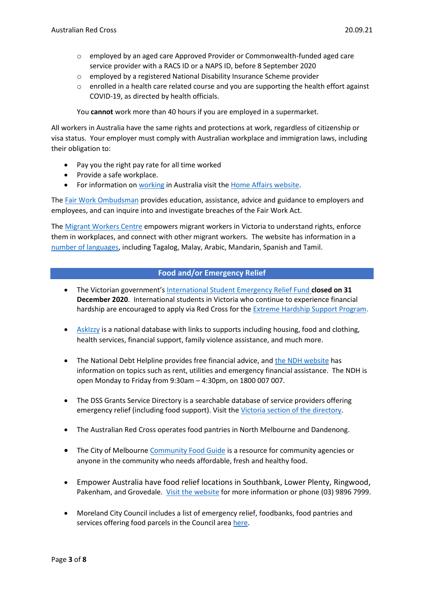- o employed by an aged care Approved Provider or Commonwealth-funded aged care service provider with a RACS ID or a NAPS ID, before 8 September 2020
- o employed by a registered National Disability Insurance Scheme provider
- $\circ$  enrolled in a health care related course and you are supporting the health effort against COVID-19, as directed by health officials.

You **cannot** work more than 40 hours if you are employed in a supermarket.

All workers in Australia have the same rights and protections at work, regardless of citizenship or visa status. Your employer must comply with Australian workplace and immigration laws, including their obligation to:

- Pay you the right pay rate for all time worked
- Provide a safe workplace.
- For information on [working](https://immi.homeaffairs.gov.au/visas/getting-a-visa/visa-listing/student-500/temporary-relaxation-of-working-hours-for-student-visa-holders) in Australia visit the [Home Affairs website.](https://immi.homeaffairs.gov.au/visas/working-in-australia)

The Fair Work [Ombudsman](https://www.fairwork.gov.au/) provides education, assistance, advice and guidance to employers and employees, and can inquire into and investigate breaches of the Fair Work Act.

The [Migrant Workers Centre](https://www.migrantworkers.org.au/) empowers migrant workers in Victoria to understand rights, enforce them in workplaces, and connect with other migrant workers. The website has information in a [number of languages,](https://www.migrantworkers.org.au/resources) including Tagalog, Malay, Arabic, Mandarin, Spanish and Tamil.

## **Food and/or Emergency Relief**

- The Victorian government's [International Student Emergency Relief Fund](https://www.studymelbourne.vic.gov.au/news-updates/international-student-emergency-relief-fund) **closed on 31 December 2020**. International students in Victoria who continue to experience financial hardship are encouraged to apply via Red Cross for the [Extreme Hardship Support Program.](https://www.redcross.org.au/vicrelief)
- [AskIzzy](https://askizzy.org.au/) is a national database with links to supports including housing, food and clothing, health services, financial support, family violence assistance, and much more.
- The National Debt Helpline provides free financial advice, and [the NDH website](https://ndh.org.au/) has information on topics such as rent, utilities and emergency financial assistance. The NDH is open Monday to Friday from 9:30am – 4:30pm, on 1800 007 007.
- The DSS Grants Service Directory is a searchable database of service providers offering emergency relief (including food support). Visit the [Victoria section of the directory.](https://serviceproviders.dss.gov.au/?postcode&ppp=100&programme=Families%20and%20Communities®ion&service=Financial%20Crisis%20and%20Material%20Aid%20-%20Emergency%20Relief&state=Victoria)
- The Australian Red Cross operates food pantries in North Melbourne and Dandenong.
- The City of Melbourne [Community Food Guide](https://www.melbourne.vic.gov.au/SiteCollectionDocuments/community-food-guide.pdf) is a resource for community agencies or anyone in the community who needs affordable, fresh and healthy food.
- Empower Australia have food relief locations in Southbank, Lower Plenty, Ringwood, Pakenham, and Grovedale. [Visit the website](https://www.empoweraustralia.com.au/programs/the-pantry/) for more information or phone (03) 9896 7999.
- Moreland City Council includes a list of emergency relief, foodbanks, food pantries and services offering food parcels in the Council area [here.](https://www.moreland.vic.gov.au/community-health/advocacy-services/housing-and-employment/food-relief/)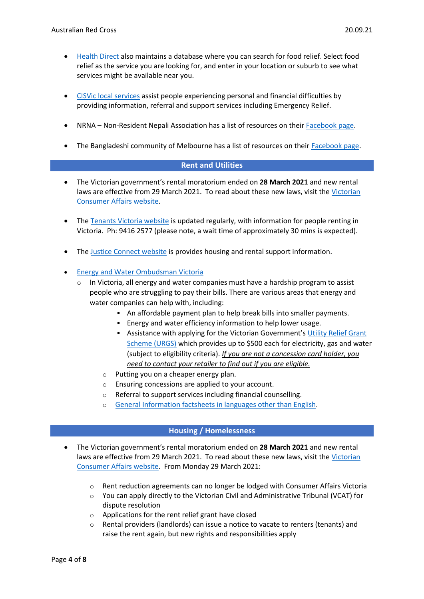- [Health Direct](https://www.healthdirect.gov.au/australian-health-services) also maintains a database where you can search for food relief. Select food relief as the service you are looking for, and enter in your location or suburb to see what services might be available near you.
- [CISVic local services](https://www.cisvic.org.au/COVID-19-Assistance) assist people experiencing personal and financial difficulties by providing information, referral and support services including Emergency Relief.
- NRNA Non-Resident Nepali Association has a list of resources on thei[r Facebook page.](https://www.facebook.com/NRNAAustralia)
- The Bangladeshi community of Melbourne has a list of resources on their [Facebook page.](https://www.facebook.com/groups/1285565858301441)

## **Rent and Utilities**

- The Victorian government's rental moratorium ended on **28 March 2021** and new rental laws are effective from 29 March 2021. To read about these new laws, visit th[e Victorian](https://www.consumer.vic.gov.au/housing/renting/changes-to-renting-laws)  [Consumer Affairs website.](https://www.consumer.vic.gov.au/housing/renting/changes-to-renting-laws)
- The [Tenants Victoria website](https://tenantsvic.org.au/) is updated regularly, with information for people renting in Victoria. Ph: 9416 2577 (please note, a wait time of approximately 30 mins is expected).
- The [Justice Connect website](https://justiceconnect.org.au/resources/how-does-covid-19-affect-victorian-renters/) is provides housing and rental support information.
- [Energy and Water Ombudsman Victoria](https://www.ewov.com.au/resources/hot-topics/having-trouble-paying-your-energy-or-water-bill-help-is-available-april-2017)
	- $\circ$  In Victoria, all energy and water companies must have a hardship program to assist people who are struggling to pay their bills. There are various areas that energy and water companies can help with, including:
		- An affordable payment plan to help break bills into smaller payments.
		- Energy and water efficiency information to help lower usage.
		- **EXECT:** Assistance with applying for the Victorian Government's Utility Relief Grant [Scheme \(URGS\)](https://services.dhhs.vic.gov.au/utility-relief-grant-scheme) which provides up to \$500 each for electricity, gas and water (subject to eligibility criteria). *If you are not a concession card holder, you need to contact your retailer to find out if you are eligible.*
		- o Putting you on a cheaper energy plan.
		- o Ensuring concessions are applied to your account.
		- o Referral to support services including financial counselling.
		- [General Information factsheets in languages](https://www.ewov.com.au/resources/other-languages) other than English.

#### **Housing / Homelessness**

- The Victorian government's rental moratorium ended on **28 March 2021** and new rental laws are effective from 29 March 2021. To read about these new laws, visit the Victorian [Consumer Affairs website.](https://www.consumer.vic.gov.au/housing/renting/changes-to-renting-laws) From Monday 29 March 2021:
	- $\circ$  Rent reduction agreements can no longer be lodged with Consumer Affairs Victoria
	- $\circ$  You can apply directly to the Victorian Civil and Administrative Tribunal (VCAT) for dispute resolution
	- o Applications for the [rent relief](https://www.housing.vic.gov.au/help-renting/rentrelief) grant have closed
	- $\circ$  Rental providers (landlords) can issue a notice to vacate to renters (tenants) and raise the rent again, but new rights and responsibilities apply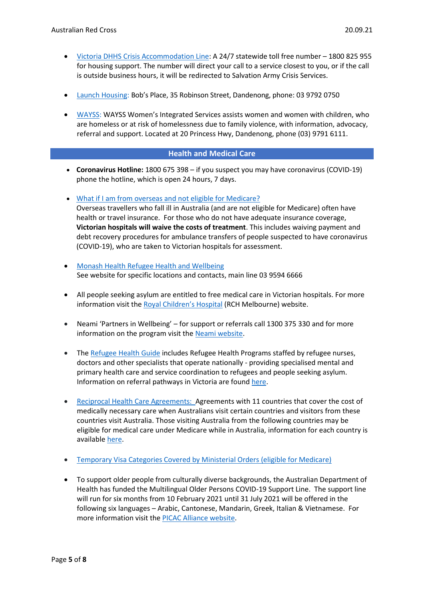- Victoria DHHS [Crisis Accommodation Line:](https://services.dhhs.vic.gov.au/crisis-accommodation) A 24/7 statewide toll free number 1800 825 955 for housing support. The number will direct your call to a service closest to you, or if the call is outside business hours, it will be redirected to Salvation Army Crisis Services.
- [Launch Housing:](https://www.launchhousing.org.au/) Bob's Place, 35 Robinson Street, Dandenong, phone: 03 9792 0750
- [WAYSS:](http://www.wayssltd.org.au/) WAYSS Women's Integrated Services assists women and women with children, who are homeless or at risk of homelessness due to family violence, with information, advocacy, referral and support. Located at 20 Princess Hwy, Dandenong, phone (03) 9791 6111.

## **Health and Medical Care**

- **Coronavirus Hotline:** 1800 675 398 if you suspect you may have coronavirus (COVID-19) phone the hotline, which is open 24 hours, 7 days.
- [What if I am from overseas and not eligible for Medicare?](https://www.dhhs.vic.gov.au/information-overseas-travellers-coronavirus-disease-covid-19#what-if-im-from-overseas-and-im-not-eligible-for-medicare) Overseas travellers who fall ill in Australia (and are not eligible for Medicare) often have health or travel insurance. For those who do not have adequate insurance coverage, **Victorian hospitals will waive the costs of treatment**. This includes waiving payment and debt recovery procedures for ambulance transfers of people suspected to have coronavirus (COVID-19), who are taken to Victorian hospitals for assessment.
- [Monash Health Refugee Health and Wellbeing](https://monashhealth.org/contact/) See website for specific locations and contacts, main line 03 9594 6666
- All people seeking asylum are entitled to free medical care in Victorian hospitals. For more information visit the [Royal Children's Hospital](https://www.rch.org.au/immigranthealth/clinical/Asylum_seekers/) (RCH Melbourne) website.
- Neami 'Partners in Wellbeing' for support or referrals call 1300 375 330 and for more information on the program visit the [Neami website.](https://www.neaminational.org.au/find-services/partners-in-wellbeing/)
- The [Refugee Health Guide](https://refugeehealthguide.org.au/referrals) includes Refugee Health Programs staffed by refugee nurses, doctors and other specialists that operate nationally - providing specialised mental and primary health care and service coordination to refugees and people seeking asylum. Information on referral pathways in Victoria are found [here.](https://refugeehealthguide.org.au/referrals/victoria/)
- [Reciprocal Health Care Agreements:](https://www.servicesaustralia.gov.au/individuals/services/medicare/reciprocal-health-care-agreements) Agreements with 11 countries that cover the cost of medically necessary care when Australians visit certain countries and visitors from these countries visit Australia. Those visiting Australia from the following countries may be eligible for medical care under Medicare while in Australia, information for each country is available [here.](https://www.servicesaustralia.gov.au/individuals/services/medicare/reciprocal-health-care-agreements/when-you-visit-australia)
- [Temporary Visa Categories Covered by Ministerial Orders \(eligible for Medicare\)](https://www.servicesaustralia.gov.au/individuals/subjects/how-enrol-and-get-started-medicare/enrolling-medicare/how-enrol-medicare-if-youre-temporary-resident-covered-ministerial-order)
- To support older people from culturally diverse backgrounds, the Australian Department of Health has funded the Multilingual Older Persons COVID-19 Support Line. The support line will run for six months from 10 February 2021 until 31 July 2021 will be offered in the following six languages – Arabic, Cantonese, Mandarin, Greek, Italian & Vietnamese. For more information visit the [PICAC Alliance website.](http://www.picacalliance.org/multilingual-older-persons-covid-19-support-line/)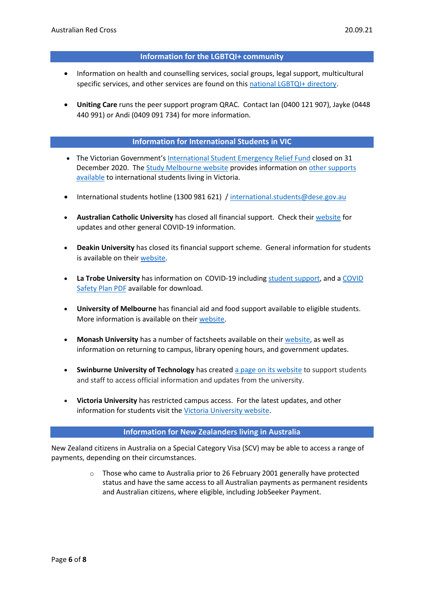#### **Information for the LGBTQI+ community**

- Information on health and counselling services, social groups, legal support, multicultural specific services, and other services are found on thi[s national LGBTQI+ directory.](https://docs.google.com/spreadsheets/d/1CTv8NSkImdhclvS_ZJ61t1k33KPE5f4PF0wWApP6aFk/edit#gid=1868596043)
- **Uniting Care** runs the peer support program QRAC. Contact Ian (0400 121 907), Jayke (0448 440 991) or Andi (0409 091 734) for more information.

## **Information for International Students in VIC**

- The Victorian Government's [International Student Emergency Relief Fund](https://www.studymelbourne.vic.gov.au/news-updates/international-student-emergency-relief-fund) closed on 31 December 2020. The [Study Melbourne website](https://www.studymelbourne.vic.gov.au/news-updates/international-student-emergency-relief-fund) provides information o[n other supports](https://www.studymelbourne.vic.gov.au/help-and-support/support-for-students-coronavirus)  [available](https://www.studymelbourne.vic.gov.au/help-and-support/support-for-students-coronavirus) to international students living in Victoria.
- International students hotline (1300 981 621) / [international.students@dese.gov.au](mailto:international.students@dese.gov.au)
- **Australian Catholic University** has closed all financial support. Check thei[r website](https://www.acu.edu.au/about-acu/news/covid-19-faqs) for updates and other general COVID-19 information.
- **Deakin University** has closed its financial support scheme. General information for students is available on their [website.](https://www.deakin.edu.au/covidsafe)
- **La Trobe University** has information on COVID-19 including [student support,](https://www.latrobe.edu.au/about/novel-coronavirus/support) and a [COVID](https://www.latrobe.edu.au/__data/assets/pdf_file/0011/1175654/State-Govt-COVID-Safe-Plan-v2-091020.pdf)  [Safety Plan PDF](https://www.latrobe.edu.au/__data/assets/pdf_file/0011/1175654/State-Govt-COVID-Safe-Plan-v2-091020.pdf) available for download.
- **University of Melbourne** has financial aid and food support available to eligible students. More information is available on their [website.](https://students.unimelb.edu.au/student-support/coronavirus/covid-19-emergency-support-fund-and-other-financial-or-material-support)
- **Monash University** has a number of factsheets available on their [website,](https://www.monash.edu/news/coronavirus-updates) as well as information on returning to campus, library opening hours, and government updates.
- **Swinburne University of Technology** has created [a page on its website](https://www.swinburne.edu.au/alerts/coronavirus/) to support students and staff to access official information and updates from the university.
- **Victoria University** has restricted campus access. For the latest updates, and other information for students visit the [Victoria University website.](https://www.vu.edu.au/about-vu/news-events/news/vus-response-to-the-coronavirus-covid-19)

#### **Information for New Zealanders living in Australia**

New Zealand citizens in Australia on a Special Category Visa (SCV) may be able to access a range of payments, depending on their circumstances.

> $\circ$  Those who came to Australia prior to 26 February 2001 generally have protected status and have the same access to all Australian payments as permanent residents and Australian citizens, where eligible, including JobSeeker Payment.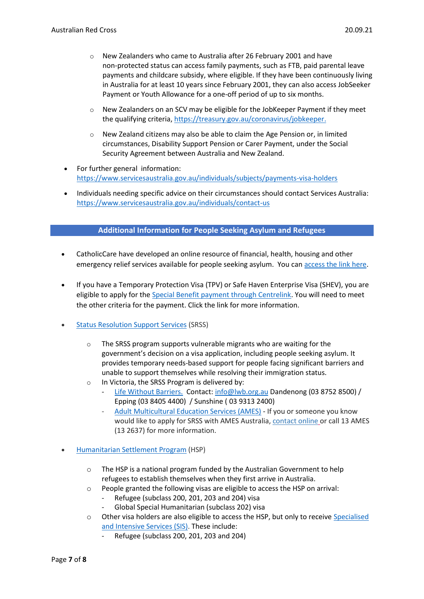- $\circ$  New Zealanders who came to Australia after 26 February 2001 and have non-protected status can access family payments, such as FTB, paid parental leave payments and childcare subsidy, where eligible. If they have been continuously living in Australia for at least 10 years since February 2001, they can also access JobSeeker Payment or Youth Allowance for a one-off period of up to six months.
- $\circ$  New Zealanders on an SCV may be eligible for the JobKeeper Payment if they meet the qualifying criteria[, https://treasury.gov.au/coronavirus/jobkeeper.](https://treasury.gov.au/coronavirus/jobkeeper)
- New Zealand citizens may also be able to claim the Age Pension or, in limited circumstances, Disability Support Pension or Carer Payment, under the Social Security Agreement between Australia and New Zealand.
- For further general information: <https://www.servicesaustralia.gov.au/individuals/subjects/payments-visa-holders>
- Individuals needing specific advice on their circumstances should contact Services Australia: <https://www.servicesaustralia.gov.au/individuals/contact-us>

## **Additional Information for People Seeking Asylum and Refugees**

- CatholicCare have developed an online resource of financial, health, housing and other emergency relief services available for people seeking asylum. You can [access the link here.](https://aus01.safelinks.protection.outlook.com/?url=https%3A%2F%2Fdrive.google.com%2Ffile%2Fd%2F1u1_5ZE4Qecv-iTRFNsKGHQZyTS-HJdP0%2Fview%3Fusp%3Dsharing&data=02%7C01%7Csobrien%40redcross.org.au%7Cca2cfb1454d643060af908d8506230ee%7C1ac0eafd88864ec7afd229c150fc3208%7C0%7C0%7C637347730002960867&sdata=Ln9D5imqVxxJwj2bUaFXtkF0oW1caQfpuGDY7qeHx%2FY%3D&reserved=0)
- If you have a Temporary Protection Visa (TPV) or Safe Haven Enterprise Visa (SHEV), you are eligible to apply for th[e Special Benefit payment through Centrelink.](https://www.servicesaustralia.gov.au/individuals/services/centrelink/special-benefit) You will need to meet the other criteria for the payment. Click the link for more information.
- [Status Resolution Support Services](https://immi.homeaffairs.gov.au/what-we-do/status-resolution-service/status-resolution-support-services) (SRSS)
	- o The SRSS program supports vulnerable migrants who are waiting for the government's decision on a visa application, including people seeking asylum. It provides temporary needs-based support for people facing significant barriers and unable to support themselves while resolving their immigration status.
	- o In Victoria, the SRSS Program is delivered by:
		- [Life Without Barriers.](https://www.lwb.org.au/services/refugees-and-asylum-seekers/) Contact: [info@lwb.org.au](mailto:info@lwb.org.au) Dandenong (03 8752 8500) / Epping (03 8405 4400) / Sunshine ( 03 9313 2400)
		- [Adult Multicultural Education Services \(AMES\)](https://www.ames.net.au/settle-in-aus/status-resolution-support-services-srss) If you or someone you know would like to apply for SRSS with AMES Australia, [contact online](https://www.ames.net.au/contact-us) or call 13 AMES (13 2637) for more information.
- [Humanitarian Settlement Program](https://immi.homeaffairs.gov.au/settling-in-australia/humanitarian-settlement-program/specialised-and-intensive-services) (HSP)
	- o The HSP is a national program funded by the Australian Government to help refugees to establish themselves when they first arrive in Australia.
	- o People granted the following visas are eligible to access the HSP on arrival:
		- Refugee (subclass 200, 201, 203 and 204) visa
		- Global Special Humanitarian (subclass 202) visa
	- o Other visa holders are also eligible to access the HSP, but only to receive [Specialised](https://immi.homeaffairs.gov.au/settling-in-australia/humanitarian-settlement-program/specialised-and-intensive-services)  [and Intensive Services \(SIS\).](https://immi.homeaffairs.gov.au/settling-in-australia/humanitarian-settlement-program/specialised-and-intensive-services) These include:
		- Refugee (subclass 200, 201, 203 and 204)